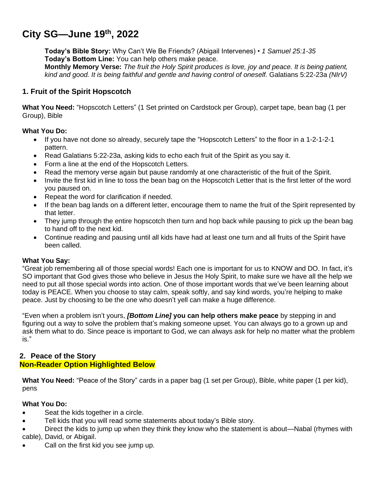# **City SG—June 19th , 2022**

**Today's Bible Story:** Why Can't We Be Friends? (Abigail Intervenes) • *1 Samuel 25:1-35* **Today's Bottom Line:** You can help others make peace. **Monthly Memory Verse:** *The fruit the Holy Spirit produces is love, joy and peace. It is being patient, kind and good. It is being faithful and gentle and having control of oneself.* Galatians 5:22-23a *(NIrV)*

# **1. Fruit of the Spirit Hopscotch**

**What You Need:** "Hopscotch Letters" (1 Set printed on Cardstock per Group), carpet tape, bean bag (1 per Group), Bible

#### **What You Do:**

- If you have not done so already, securely tape the "Hopscotch Letters" to the floor in a 1-2-1-2-1 pattern.
- Read Galatians 5:22-23a, asking kids to echo each fruit of the Spirit as you say it.
- Form a line at the end of the Hopscotch Letters.
- Read the memory verse again but pause randomly at one characteristic of the fruit of the Spirit.
- Invite the first kid in line to toss the bean bag on the Hopscotch Letter that is the first letter of the word you paused on.
- Repeat the word for clarification if needed.
- If the bean bag lands on a different letter, encourage them to name the fruit of the Spirit represented by that letter.
- They jump through the entire hopscotch then turn and hop back while pausing to pick up the bean bag to hand off to the next kid.
- Continue reading and pausing until all kids have had at least one turn and all fruits of the Spirit have been called.

#### **What You Say:**

"Great job remembering all of those special words! Each one is important for us to KNOW and DO. In fact, it's SO important that God gives those who believe in Jesus the Holy Spirit, to make sure we have all the help we need to put all those special words into action. One of those important words that we've been learning about today is PEACE. When you choose to stay calm, speak softly, and say kind words, you're helping to make peace. Just by choosing to be the one who doesn't yell can make a huge difference.

"Even when a problem isn't yours, *[Bottom Line]* **you can help others make peace** by stepping in and figuring out a way to solve the problem that's making someone upset. You can always go to a grown up and ask them what to do. Since peace is important to God, we can always ask for help no matter what the problem is."

## **2. Peace of the Story Non-Reader Option Highlighted Below**

**What You Need:** "Peace of the Story" cards in a paper bag (1 set per Group), Bible, white paper (1 per kid), pens

## **What You Do:**

- Seat the kids together in a circle.
- Tell kids that you will read some statements about today's Bible story.
- Direct the kids to jump up when they think they know who the statement is about—Nabal (rhymes with cable), David, or Abigail.
- Call on the first kid you see jump up.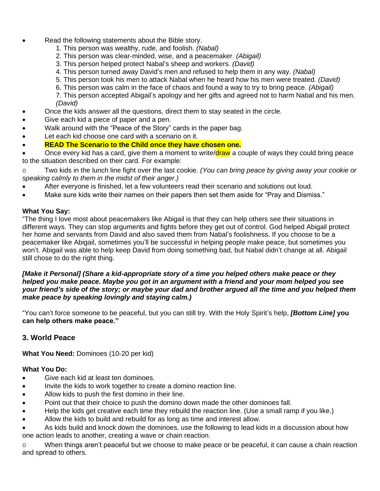- Read the following statements about the Bible story.
	- 1. This person was wealthy, rude, and foolish. *(Nabal)*
	- 2. This person was clear-minded, wise, and a peacemaker. *(Abigail)*
	- 3. This person helped protect Nabal's sheep and workers. *(David)*
	- 4. This person turned away David's men and refused to help them in any way. *(Nabal)*
	- 5. This person took his men to attack Nabal when he heard how his men were treated. *(David)*
	- 6. This person was calm in the face of chaos and found a way to try to bring peace. *(Abigail)*

7. This person accepted Abigail's apology and her gifts and agreed not to harm Nabal and his men. *(David)*

- Once the kids answer all the questions, direct them to stay seated in the circle.
- Give each kid a piece of paper and a pen.
- Walk around with the "Peace of the Story" cards in the paper bag.
- Let each kid choose one card with a scenario on it.
- **READ The Scenario to the Child once they have chosen one.**

• Once every kid has a card, give them a moment to write/draw a couple of ways they could bring peace to the situation described on their card. For example:

o Two kids in the lunch line fight over the last cookie. *(You can bring peace by giving away your cookie or speaking calmly to them in the midst of their anger.)*

- After everyone is finished, let a few volunteers read their scenario and solutions out loud.
- Make sure kids write their names on their papers then set them aside for "Pray and Dismiss."

## **What You Say:**

"The thing I love most about peacemakers like Abigail is that they can help others see their situations in different ways. They can stop arguments and fights before they get out of control. God helped Abigail protect her home and servants from David and also saved them from Nabal's foolishness. If you choose to be a peacemaker like Abigail, sometimes you'll be successful in helping people make peace, but sometimes you won't. Abigail was able to help keep David from doing something bad, but Nabal didn't change at all. Abigail still chose to do the right thing.

#### *[Make it Personal] (Share a kid-appropriate story of a time you helped others make peace or they helped you make peace. Maybe you got in an argument with a friend and your mom helped you see your friend's side of the story; or maybe your dad and brother argued all the time and you helped them make peace by speaking lovingly and staying calm.)*

"You can't force someone to be peaceful, but you can still try. With the Holy Spirit's help, *[Bottom Line]* **you can help others make peace."**

## **3. World Peace**

**What You Need:** Dominoes (10-20 per kid)

#### **What You Do:**

- Give each kid at least ten dominoes.
- Invite the kids to work together to create a domino reaction line.
- Allow kids to push the first domino in their line.
- Point out that their choice to push the domino down made the other dominoes fall.
- Help the kids get creative each time they rebuild the reaction line. (Use a small ramp if you like.)
- Allow the kids to build and rebuild for as long as time and interest allow.

• As kids build and knock down the dominoes, use the following to lead kids in a discussion about how one action leads to another, creating a wave or chain reaction.

o When things aren't peaceful but we choose to make peace or be peaceful, it can cause a chain reaction and spread to others.